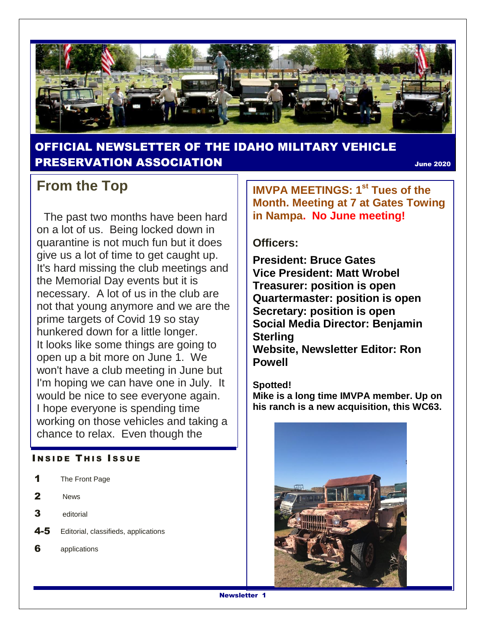

#### OFFICIAL NEWSLETTER OF THE IDAHO MILITARY VEHICLE PRESERVATION ASSOCIATION June <sup>2020</sup>

### **From the Top**

 The past two months have been hard on a lot of us. Being locked down in quarantine is not much fun but it does give us a lot of time to get caught up. It's hard missing the club meetings and the Memorial Day events but it is necessary. A lot of us in the club are not that young anymore and we are the prime targets of Covid 19 so stay hunkered down for a little longer. It looks like some things are going to open up a bit more on June 1. We won't have a club meeting in June but I'm hoping we can have one in July. It would be nice to see everyone again. I hope everyone is spending time working on those vehicles and taking a chance to relax. Even though the

#### **INSIDE THIS ISSUE**

| The Front Page |
|----------------|
|                |

- 2 News
- 3 editorial
- 4-5 Editorial, classifieds, applications
- 6 applications

**IMVPA MEETINGS: 1st Tues of the Month. Meeting at 7 at Gates Towing in Nampa. No June meeting!**

#### **Officers:**

**President: Bruce Gates Vice President: Matt Wrobel Treasurer: position is open Quartermaster: position is open Secretary: position is open Social Media Director: Benjamin Sterling Website, Newsletter Editor: Ron Powell**

#### **Spotted!**

**Mike is a long time IMVPA member. Up on his ranch is a new acquisition, this WC63.**

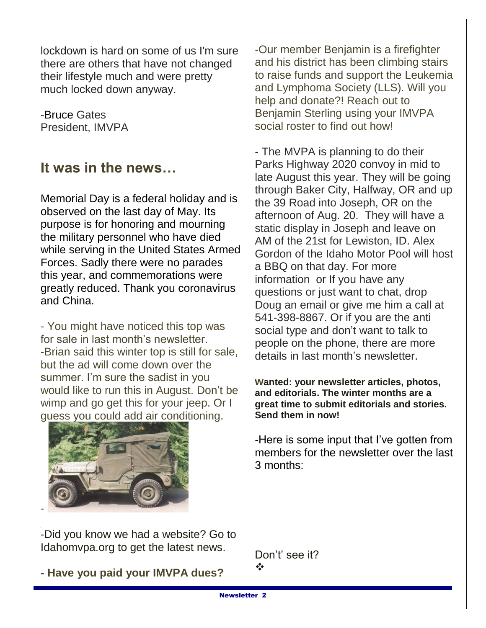lockdown is hard on some of us I'm sure there are others that have not changed their lifestyle much and were pretty much locked down anyway.

-Bruce Gates President, IMVPA

### **It was in the news…**

Memorial Day is a federal holiday and is observed on the last day of May. Its purpose is for honoring and mourning the military personnel who have died while serving in the United States Armed Forces. Sadly there were no parades this year, and commemorations were greatly reduced. Thank you coronavirus and China.

- You might have noticed this top was for sale in last month's newsletter. -Brian said this winter top is still for sale, but the ad will come down over the summer. I'm sure the sadist in you would like to run this in August. Don't be wimp and go get this for your jeep. Or I guess you could add air conditioning.



-

-Our member Benjamin is a firefighter and his district has been climbing stairs to raise funds and support the Leukemia and Lymphoma Society (LLS). Will you help and donate?! Reach out to Benjamin Sterling using your IMVPA social roster to find out how!

- The MVPA is planning to do their Parks Highway 2020 convoy in mid to late August this year. They will be going through Baker City, Halfway, OR and up the 39 Road into Joseph, OR on the afternoon of Aug. 20. They will have a static display in Joseph and leave on AM of the 21st for Lewiston, ID. Alex Gordon of the Idaho Motor Pool will host a BBQ on that day. For more information or If you have any questions or just want to chat, drop Doug an email or give me him a call at 541-398-8867. Or if you are the anti social type and don't want to talk to people on the phone, there are more details in last month's newsletter.

**wanted: your newsletter articles, photos, and editorials. The winter months are a great time to submit editorials and stories. Send them in now!**

-Here is some input that I've gotten from members for the newsletter over the last 3 months:

-Did you know we had a website? Go to Idahomvpa.org to get the latest news.

**- Have you paid your IMVPA dues?**

Don't' see it? ÷

Newsletter 2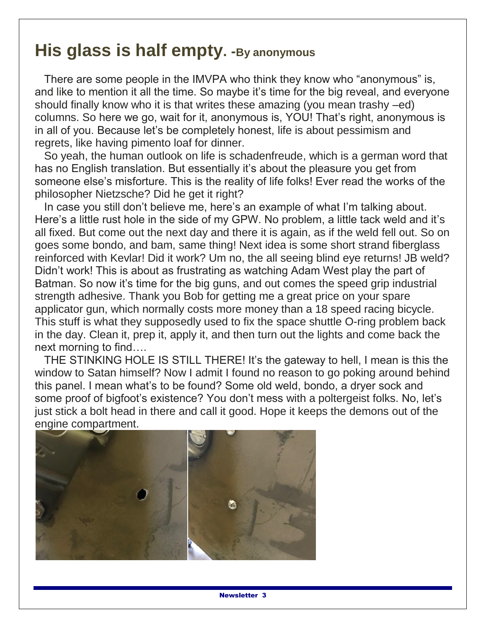# **His glass is half empty. -By anonymous**

 There are some people in the IMVPA who think they know who "anonymous" is, and like to mention it all the time. So maybe it's time for the big reveal, and everyone should finally know who it is that writes these amazing (you mean trashy –ed) columns. So here we go, wait for it, anonymous is, YOU! That's right, anonymous is in all of you. Because let's be completely honest, life is about pessimism and regrets, like having pimento loaf for dinner.

 So yeah, the human outlook on life is schadenfreude, which is a german word that has no English translation. But essentially it's about the pleasure you get from someone else's misforture. This is the reality of life folks! Ever read the works of the philosopher Nietzsche? Did he get it right?

 In case you still don't believe me, here's an example of what I'm talking about. Here's a little rust hole in the side of my GPW. No problem, a little tack weld and it's all fixed. But come out the next day and there it is again, as if the weld fell out. So on goes some bondo, and bam, same thing! Next idea is some short strand fiberglass reinforced with Kevlar! Did it work? Um no, the all seeing blind eye returns! JB weld? Didn't work! This is about as frustrating as watching Adam West play the part of Batman. So now it's time for the big guns, and out comes the speed grip industrial strength adhesive. Thank you Bob for getting me a great price on your spare applicator gun, which normally costs more money than a 18 speed racing bicycle. This stuff is what they supposedly used to fix the space shuttle O-ring problem back in the day. Clean it, prep it, apply it, and then turn out the lights and come back the next morning to find….

 THE STINKING HOLE IS STILL THERE! It's the gateway to hell, I mean is this the window to Satan himself? Now I admit I found no reason to go poking around behind this panel. I mean what's to be found? Some old weld, bondo, a dryer sock and some proof of bigfoot's existence? You don't mess with a poltergeist folks. No, let's just stick a bolt head in there and call it good. Hope it keeps the demons out of the engine compartment.

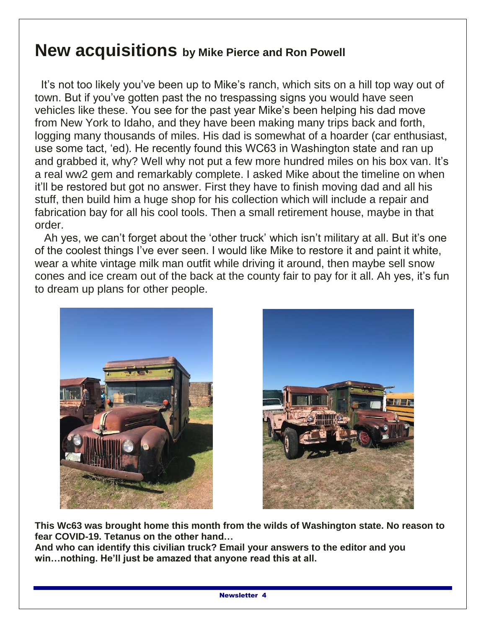### **New acquisitions by Mike Pierce and Ron Powell**

 It's not too likely you've been up to Mike's ranch, which sits on a hill top way out of town. But if you've gotten past the no trespassing signs you would have seen vehicles like these. You see for the past year Mike's been helping his dad move from New York to Idaho, and they have been making many trips back and forth, logging many thousands of miles. His dad is somewhat of a hoarder (car enthusiast, use some tact, 'ed). He recently found this WC63 in Washington state and ran up and grabbed it, why? Well why not put a few more hundred miles on his box van. It's a real ww2 gem and remarkably complete. I asked Mike about the timeline on when it'll be restored but got no answer. First they have to finish moving dad and all his stuff, then build him a huge shop for his collection which will include a repair and fabrication bay for all his cool tools. Then a small retirement house, maybe in that order.

 Ah yes, we can't forget about the 'other truck' which isn't military at all. But it's one of the coolest things I've ever seen. I would like Mike to restore it and paint it white, wear a white vintage milk man outfit while driving it around, then maybe sell snow cones and ice cream out of the back at the county fair to pay for it all. Ah yes, it's fun to dream up plans for other people.





**This Wc63 was brought home this month from the wilds of Washington state. No reason to fear COVID-19. Tetanus on the other hand…**

**And who can identify this civilian truck? Email your answers to the editor and you win…nothing. He'll just be amazed that anyone read this at all.**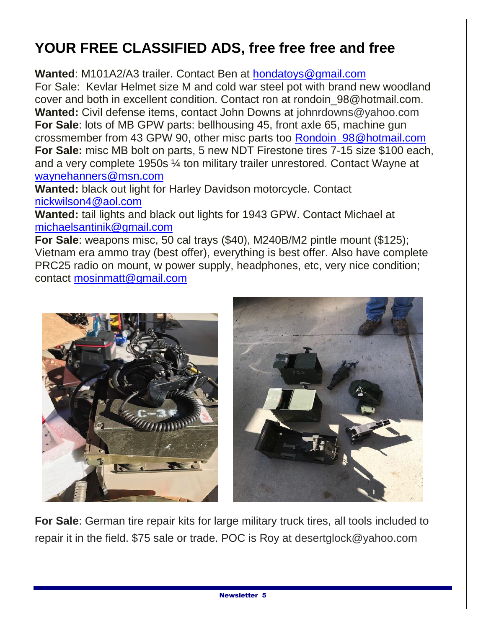# **YOUR FREE CLASSIFIED ADS, free free free and free**

Wanted: M101A2/A3 trailer. Contact Ben at **hondatoys@gmail.com** 

For Sale: Kevlar Helmet size M and cold war steel pot with brand new woodland cover and both in excellent condition. Contact ron at rondoin\_98@hotmail.com. **Wanted:** Civil defense items, contact John Downs at johnrdowns@yahoo.com **For Sale**: lots of MB GPW parts: bellhousing 45, front axle 65, machine gun crossmember from 43 GPW 90, other misc parts too [Rondoin\\_98@hotmail.com](mailto:Rondoin_98@hotmail.com) **For Sale:** misc MB bolt on parts, 5 new NDT Firestone tires 7-15 size \$100 each, and a very complete 1950s ¼ ton military trailer unrestored. Contact Wayne at [waynehanners@msn.com](mailto:waynehanners@msn.com)

**Wanted:** black out light for Harley Davidson motorcycle. Contact [nickwilson4@aol.com](mailto:nickwilson4@aol.com)

**Wanted:** tail lights and black out lights for 1943 GPW. Contact Michael at [michaelsantinik@gmail.com](mailto:michaelsantinik@gmail.com)

**For Sale**: weapons misc, 50 cal trays (\$40), M240B/M2 pintle mount (\$125); Vietnam era ammo tray (best offer), everything is best offer. Also have complete PRC25 radio on mount, w power supply, headphones, etc, very nice condition; contact [mosinmatt@gmail.com](mailto:mosinmatt@gmail.com)



**For Sale**: German tire repair kits for large military truck tires, all tools included to repair it in the field. \$75 sale or trade. POC is Roy at desertglock@yahoo.com